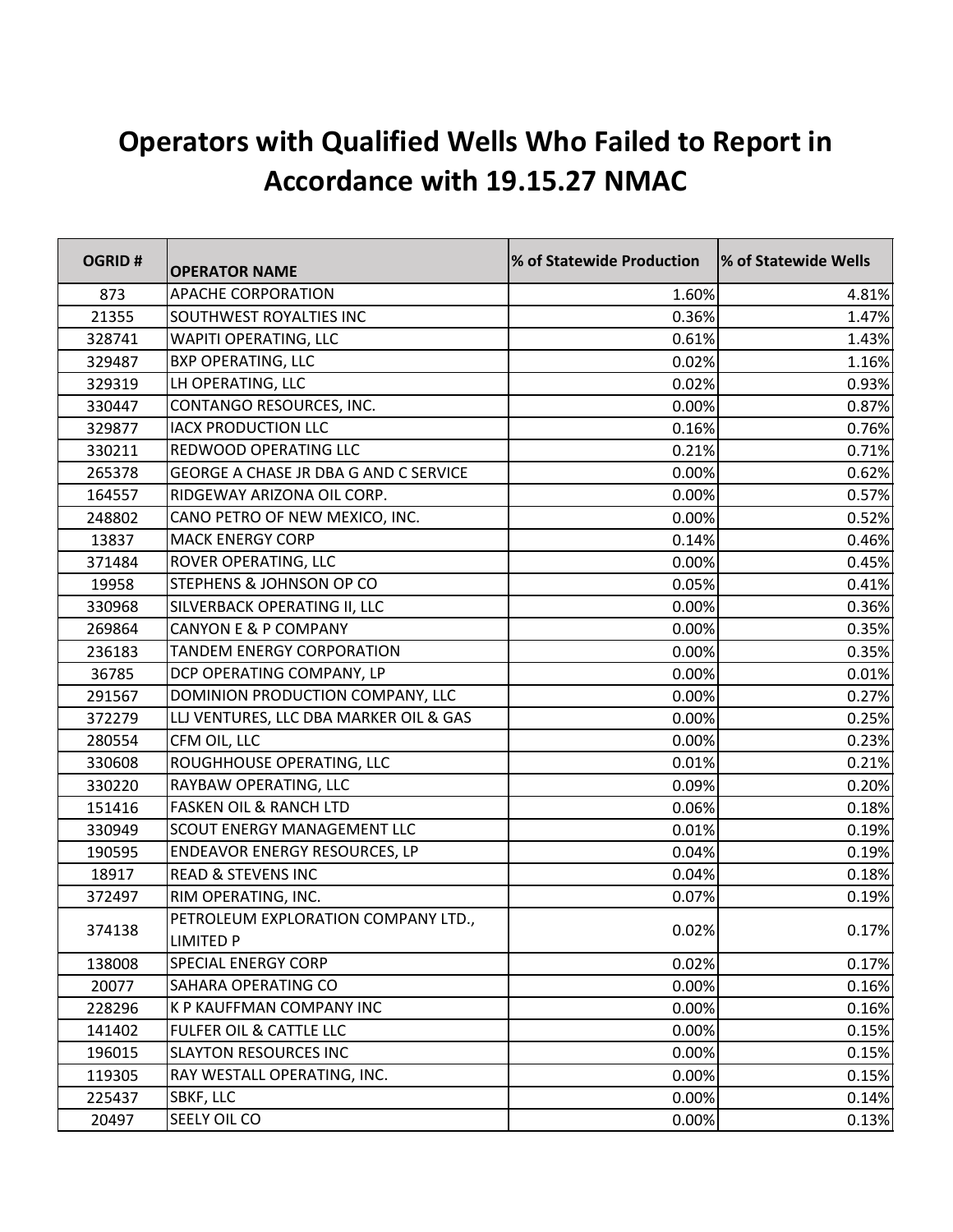## **Operators with Qualified Wells Who Failed to Report in Accordance with 19.15.27 NMAC**

| <b>OGRID#</b> | <b>OPERATOR NAME</b>                                    | % of Statewide Production | % of Statewide Wells |
|---------------|---------------------------------------------------------|---------------------------|----------------------|
| 873           | <b>APACHE CORPORATION</b>                               | 1.60%                     | 4.81%                |
| 21355         | SOUTHWEST ROYALTIES INC                                 | 0.36%                     | 1.47%                |
| 328741        | <b>WAPITI OPERATING, LLC</b>                            | 0.61%                     | 1.43%                |
| 329487        | <b>BXP OPERATING, LLC</b>                               | 0.02%                     | 1.16%                |
| 329319        | LH OPERATING, LLC                                       | 0.02%                     | 0.93%                |
| 330447        | CONTANGO RESOURCES, INC.                                | 0.00%                     | 0.87%                |
| 329877        | <b>IACX PRODUCTION LLC</b>                              | 0.16%                     | 0.76%                |
| 330211        | REDWOOD OPERATING LLC                                   | 0.21%                     | 0.71%                |
| 265378        | GEORGE A CHASE JR DBA G AND C SERVICE                   | 0.00%                     | 0.62%                |
| 164557        | RIDGEWAY ARIZONA OIL CORP.                              | 0.00%                     | 0.57%                |
| 248802        | CANO PETRO OF NEW MEXICO, INC.                          | 0.00%                     | 0.52%                |
| 13837         | <b>MACK ENERGY CORP</b>                                 | 0.14%                     | 0.46%                |
| 371484        | ROVER OPERATING, LLC                                    | 0.00%                     | 0.45%                |
| 19958         | STEPHENS & JOHNSON OP CO                                | 0.05%                     | 0.41%                |
| 330968        | SILVERBACK OPERATING II, LLC                            | 0.00%                     | 0.36%                |
| 269864        | <b>CANYON E &amp; P COMPANY</b>                         | 0.00%                     | 0.35%                |
| 236183        | TANDEM ENERGY CORPORATION                               | 0.00%                     | 0.35%                |
| 36785         | DCP OPERATING COMPANY, LP                               | 0.00%                     | 0.01%                |
| 291567        | DOMINION PRODUCTION COMPANY, LLC                        | 0.00%                     | 0.27%                |
| 372279        | LLJ VENTURES, LLC DBA MARKER OIL & GAS                  | 0.00%                     | 0.25%                |
| 280554        | CFM OIL, LLC                                            | 0.00%                     | 0.23%                |
| 330608        | ROUGHHOUSE OPERATING, LLC                               | 0.01%                     | 0.21%                |
| 330220        | RAYBAW OPERATING, LLC                                   | 0.09%                     | 0.20%                |
| 151416        | <b>FASKEN OIL &amp; RANCH LTD</b>                       | 0.06%                     | 0.18%                |
| 330949        | <b>SCOUT ENERGY MANAGEMENT LLC</b>                      | 0.01%                     | 0.19%                |
| 190595        | <b>ENDEAVOR ENERGY RESOURCES, LP</b>                    | 0.04%                     | 0.19%                |
| 18917         | <b>READ &amp; STEVENS INC</b>                           | 0.04%                     | 0.18%                |
| 372497        | RIM OPERATING, INC.                                     | 0.07%                     | 0.19%                |
| 374138        | PETROLEUM EXPLORATION COMPANY LTD.,<br><b>LIMITED P</b> | 0.02%                     | 0.17%                |
| 138008        | <b>SPECIAL ENERGY CORP</b>                              | 0.02%                     | 0.17%                |
| 20077         | SAHARA OPERATING CO                                     | 0.00%                     | 0.16%                |
| 228296        | <b>K P KAUFFMAN COMPANY INC</b>                         | 0.00%                     | 0.16%                |
| 141402        | <b>FULFER OIL &amp; CATTLE LLC</b>                      | 0.00%                     | 0.15%                |
| 196015        | <b>SLAYTON RESOURCES INC</b>                            | 0.00%                     | 0.15%                |
| 119305        | RAY WESTALL OPERATING, INC.                             | 0.00%                     | 0.15%                |
| 225437        | SBKF, LLC                                               | 0.00%                     | 0.14%                |
| 20497         | SEELY OIL CO                                            | 0.00%                     | 0.13%                |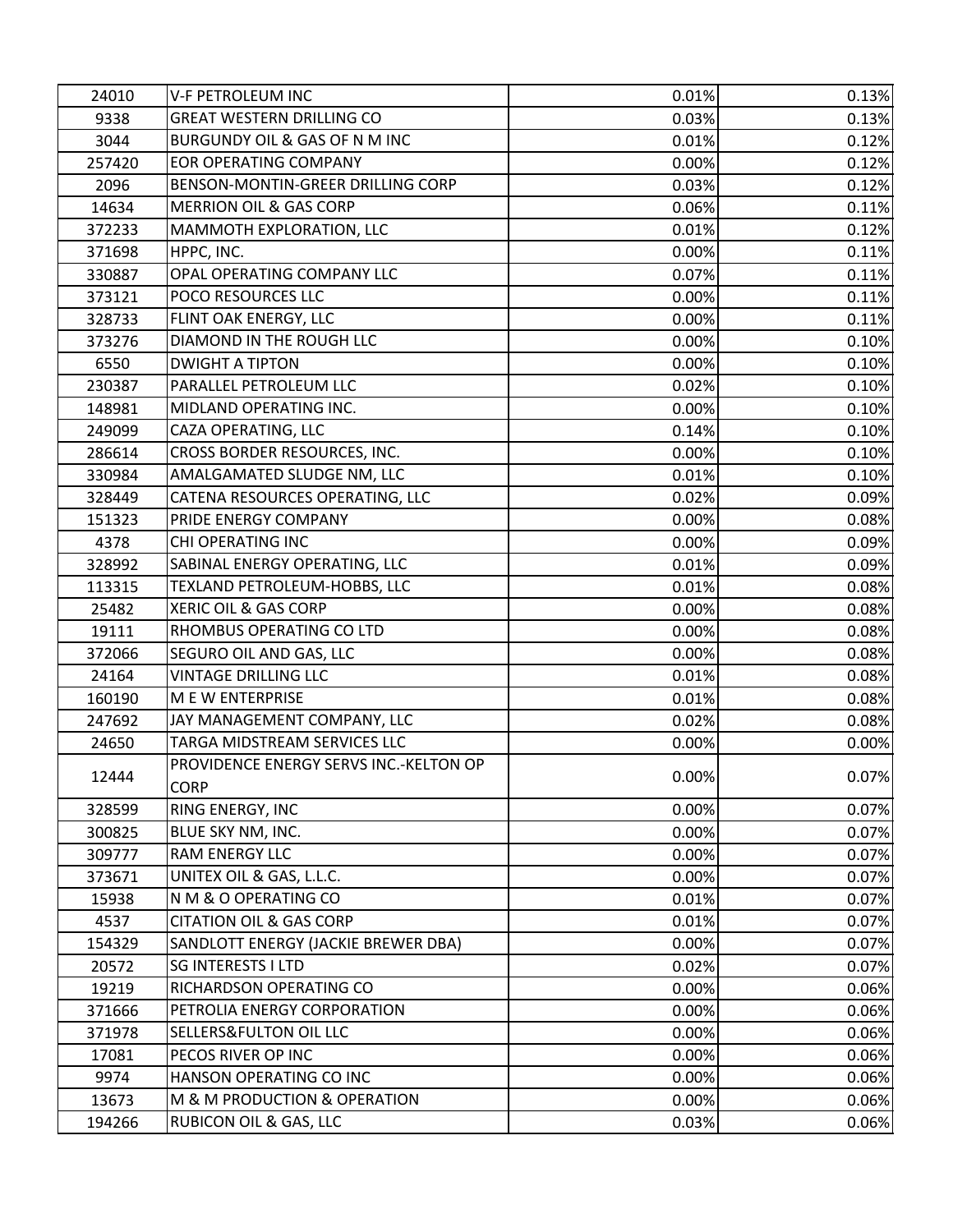| 24010  | <b>V-F PETROLEUM INC</b>               | 0.01% | 0.13% |
|--------|----------------------------------------|-------|-------|
| 9338   | <b>GREAT WESTERN DRILLING CO</b>       | 0.03% | 0.13% |
| 3044   | BURGUNDY OIL & GAS OF N M INC          | 0.01% | 0.12% |
| 257420 | <b>EOR OPERATING COMPANY</b>           | 0.00% | 0.12% |
| 2096   | BENSON-MONTIN-GREER DRILLING CORP      | 0.03% | 0.12% |
| 14634  | <b>MERRION OIL &amp; GAS CORP</b>      | 0.06% | 0.11% |
| 372233 | MAMMOTH EXPLORATION, LLC               | 0.01% | 0.12% |
| 371698 | HPPC, INC.                             | 0.00% | 0.11% |
| 330887 | OPAL OPERATING COMPANY LLC             | 0.07% | 0.11% |
| 373121 | POCO RESOURCES LLC                     | 0.00% | 0.11% |
| 328733 | FLINT OAK ENERGY, LLC                  | 0.00% | 0.11% |
| 373276 | DIAMOND IN THE ROUGH LLC               | 0.00% | 0.10% |
| 6550   | <b>DWIGHT A TIPTON</b>                 | 0.00% | 0.10% |
| 230387 | PARALLEL PETROLEUM LLC                 | 0.02% | 0.10% |
| 148981 | MIDLAND OPERATING INC.                 | 0.00% | 0.10% |
| 249099 | CAZA OPERATING, LLC                    | 0.14% | 0.10% |
| 286614 | CROSS BORDER RESOURCES, INC.           | 0.00% | 0.10% |
| 330984 | AMALGAMATED SLUDGE NM, LLC             | 0.01% | 0.10% |
| 328449 | CATENA RESOURCES OPERATING, LLC        | 0.02% | 0.09% |
| 151323 | PRIDE ENERGY COMPANY                   | 0.00% | 0.08% |
| 4378   | CHI OPERATING INC                      | 0.00% | 0.09% |
| 328992 | SABINAL ENERGY OPERATING, LLC          | 0.01% | 0.09% |
| 113315 | TEXLAND PETROLEUM-HOBBS, LLC           | 0.01% | 0.08% |
| 25482  | XERIC OIL & GAS CORP                   | 0.00% | 0.08% |
| 19111  | RHOMBUS OPERATING CO LTD               | 0.00% | 0.08% |
| 372066 | SEGURO OIL AND GAS, LLC                | 0.00% | 0.08% |
| 24164  | <b>VINTAGE DRILLING LLC</b>            | 0.01% | 0.08% |
| 160190 | M E W ENTERPRISE                       | 0.01% | 0.08% |
| 247692 | JAY MANAGEMENT COMPANY, LLC            | 0.02% | 0.08% |
| 24650  | TARGA MIDSTREAM SERVICES LLC           | 0.00% | 0.00% |
| 12444  | PROVIDENCE ENERGY SERVS INC.-KELTON OP | 0.00% | 0.07% |
| 328599 | <b>CORP</b><br>RING ENERGY, INC        | 0.00% | 0.07% |
| 300825 | BLUE SKY NM, INC.                      | 0.00% | 0.07% |
| 309777 | <b>RAM ENERGY LLC</b>                  | 0.00% | 0.07% |
| 373671 | UNITEX OIL & GAS, L.L.C.               | 0.00% | 0.07% |
| 15938  | N M & O OPERATING CO                   | 0.01% | 0.07% |
| 4537   | <b>CITATION OIL &amp; GAS CORP</b>     | 0.01% | 0.07% |
| 154329 | SANDLOTT ENERGY (JACKIE BREWER DBA)    | 0.00% | 0.07% |
| 20572  | <b>SG INTERESTS I LTD</b>              | 0.02% | 0.07% |
| 19219  | RICHARDSON OPERATING CO                | 0.00% | 0.06% |
| 371666 | PETROLIA ENERGY CORPORATION            | 0.00% | 0.06% |
| 371978 | SELLERS&FULTON OIL LLC                 | 0.00% | 0.06% |
| 17081  | PECOS RIVER OP INC                     | 0.00% | 0.06% |
| 9974   | HANSON OPERATING CO INC                | 0.00% | 0.06% |
| 13673  | M & M PRODUCTION & OPERATION           | 0.00% | 0.06% |
| 194266 | RUBICON OIL & GAS, LLC                 | 0.03% | 0.06% |
|        |                                        |       |       |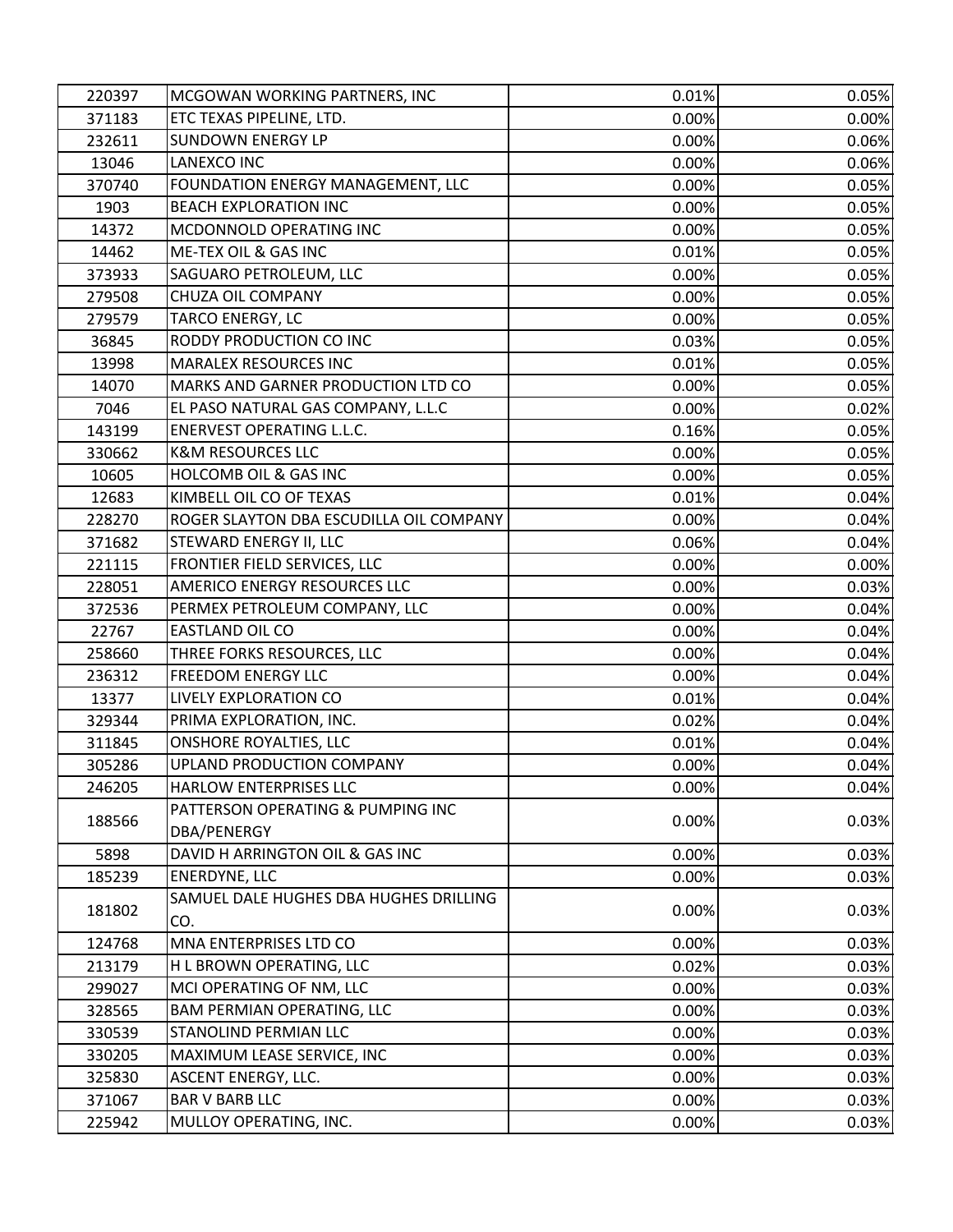| 220397 | MCGOWAN WORKING PARTNERS, INC                    | 0.01%    | 0.05% |
|--------|--------------------------------------------------|----------|-------|
| 371183 | ETC TEXAS PIPELINE, LTD.                         | 0.00%    | 0.00% |
| 232611 | <b>SUNDOWN ENERGY LP</b>                         | 0.00%    | 0.06% |
| 13046  | <b>LANEXCO INC</b>                               | 0.00%    | 0.06% |
| 370740 | FOUNDATION ENERGY MANAGEMENT, LLC                | 0.00%    | 0.05% |
| 1903   | <b>BEACH EXPLORATION INC</b>                     | 0.00%    | 0.05% |
| 14372  | MCDONNOLD OPERATING INC                          | 0.00%    | 0.05% |
| 14462  | ME-TEX OIL & GAS INC                             | 0.01%    | 0.05% |
| 373933 | SAGUARO PETROLEUM, LLC                           | 0.00%    | 0.05% |
| 279508 | CHUZA OIL COMPANY                                | 0.00%    | 0.05% |
| 279579 | TARCO ENERGY, LC                                 | 0.00%    | 0.05% |
| 36845  | RODDY PRODUCTION CO INC                          | 0.03%    | 0.05% |
| 13998  | MARALEX RESOURCES INC                            | 0.01%    | 0.05% |
| 14070  | MARKS AND GARNER PRODUCTION LTD CO               | 0.00%    | 0.05% |
| 7046   | EL PASO NATURAL GAS COMPANY, L.L.C               | 0.00%    | 0.02% |
| 143199 | <b>ENERVEST OPERATING L.L.C.</b>                 | 0.16%    | 0.05% |
| 330662 | <b>K&amp;M RESOURCES LLC</b>                     | 0.00%    | 0.05% |
| 10605  | <b>HOLCOMB OIL &amp; GAS INC</b>                 | 0.00%    | 0.05% |
| 12683  | KIMBELL OIL CO OF TEXAS                          | 0.01%    | 0.04% |
| 228270 | ROGER SLAYTON DBA ESCUDILLA OIL COMPANY          | 0.00%    | 0.04% |
| 371682 | STEWARD ENERGY II, LLC                           | 0.06%    | 0.04% |
| 221115 | FRONTIER FIELD SERVICES, LLC                     | 0.00%    | 0.00% |
| 228051 | AMERICO ENERGY RESOURCES LLC                     | 0.00%    | 0.03% |
| 372536 | PERMEX PETROLEUM COMPANY, LLC                    | 0.00%    | 0.04% |
| 22767  | EASTLAND OIL CO                                  | 0.00%    | 0.04% |
| 258660 | THREE FORKS RESOURCES, LLC                       | 0.00%    | 0.04% |
| 236312 | FREEDOM ENERGY LLC                               | 0.00%    | 0.04% |
| 13377  | LIVELY EXPLORATION CO                            | 0.01%    | 0.04% |
| 329344 | PRIMA EXPLORATION, INC.                          | 0.02%    | 0.04% |
| 311845 | <b>ONSHORE ROYALTIES, LLC</b>                    | 0.01%    | 0.04% |
| 305286 | <b>UPLAND PRODUCTION COMPANY</b>                 | 0.00%    | 0.04% |
| 246205 | <b>HARLOW ENTERPRISES LLC</b>                    | $0.00\%$ | 0.04% |
| 188566 | PATTERSON OPERATING & PUMPING INC<br>DBA/PENERGY | 0.00%    | 0.03% |
| 5898   | DAVID H ARRINGTON OIL & GAS INC                  | 0.00%    | 0.03% |
| 185239 | <b>ENERDYNE, LLC</b>                             | 0.00%    | 0.03% |
|        | SAMUEL DALE HUGHES DBA HUGHES DRILLING           |          |       |
| 181802 | CO.                                              | 0.00%    | 0.03% |
| 124768 | MNA ENTERPRISES LTD CO                           | 0.00%    | 0.03% |
| 213179 | H L BROWN OPERATING, LLC                         | 0.02%    | 0.03% |
| 299027 | MCI OPERATING OF NM, LLC                         | 0.00%    | 0.03% |
| 328565 | BAM PERMIAN OPERATING, LLC                       | 0.00%    | 0.03% |
| 330539 | STANOLIND PERMIAN LLC                            | 0.00%    | 0.03% |
| 330205 | MAXIMUM LEASE SERVICE, INC                       | 0.00%    | 0.03% |
| 325830 | ASCENT ENERGY, LLC.                              | 0.00%    | 0.03% |
| 371067 | <b>BAR V BARB LLC</b>                            | 0.00%    | 0.03% |
| 225942 | MULLOY OPERATING, INC.                           | 0.00%    | 0.03% |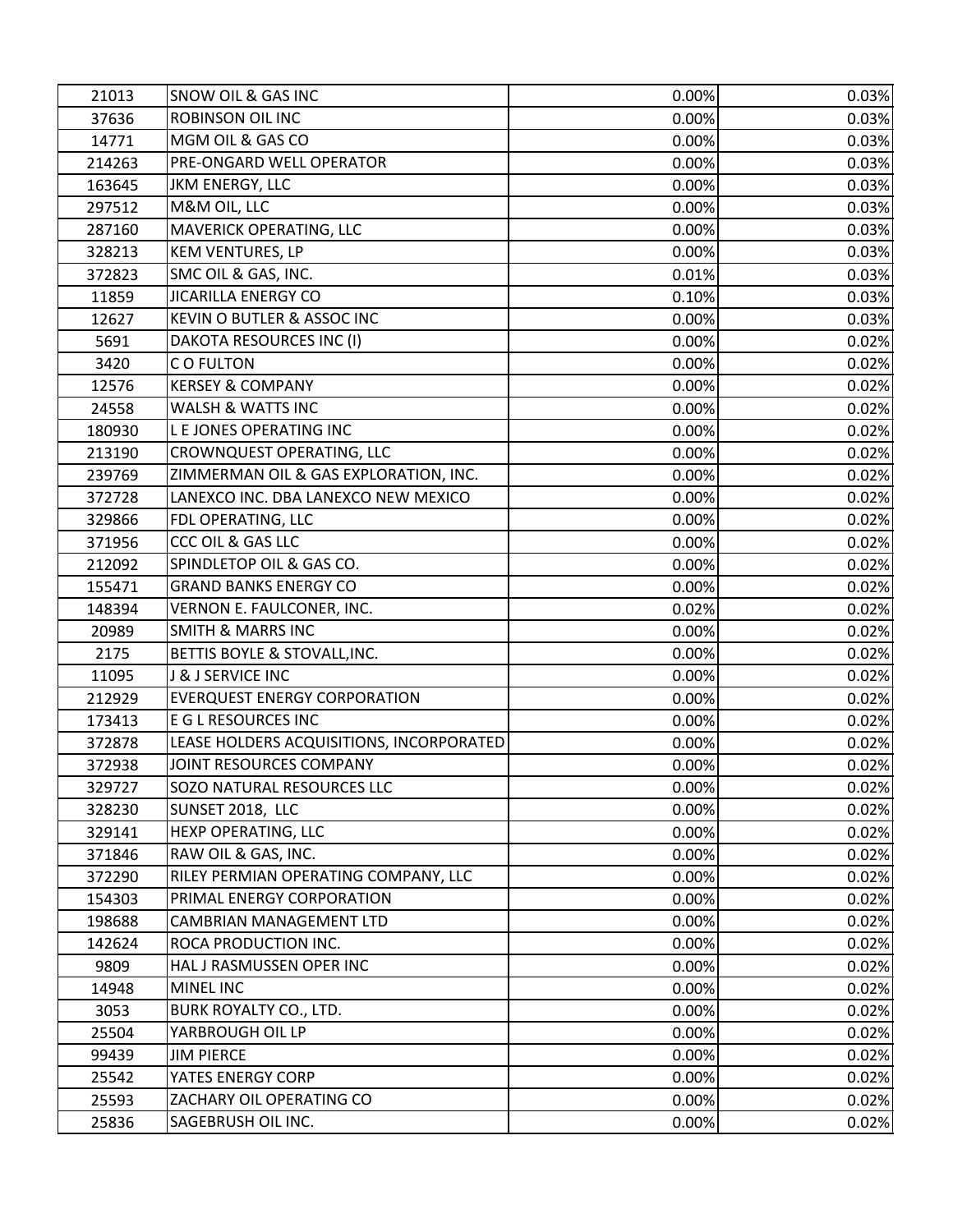| 21013  | SNOW OIL & GAS INC                       | 0.00% | 0.03% |
|--------|------------------------------------------|-------|-------|
| 37636  | <b>ROBINSON OIL INC</b>                  | 0.00% | 0.03% |
| 14771  | MGM OIL & GAS CO                         | 0.00% | 0.03% |
| 214263 | PRE-ONGARD WELL OPERATOR                 | 0.00% | 0.03% |
| 163645 | <b>JKM ENERGY, LLC</b>                   | 0.00% | 0.03% |
| 297512 | M&M OIL, LLC                             | 0.00% | 0.03% |
| 287160 | MAVERICK OPERATING, LLC                  | 0.00% | 0.03% |
| 328213 | <b>KEM VENTURES, LP</b>                  | 0.00% | 0.03% |
| 372823 | SMC OIL & GAS, INC.                      | 0.01% | 0.03% |
| 11859  | <b>JICARILLA ENERGY CO</b>               | 0.10% | 0.03% |
| 12627  | KEVIN O BUTLER & ASSOC INC               | 0.00% | 0.03% |
| 5691   | DAKOTA RESOURCES INC (I)                 | 0.00% | 0.02% |
| 3420   | CO FULTON                                | 0.00% | 0.02% |
| 12576  | <b>KERSEY &amp; COMPANY</b>              | 0.00% | 0.02% |
| 24558  | <b>WALSH &amp; WATTS INC</b>             | 0.00% | 0.02% |
| 180930 | L E JONES OPERATING INC                  | 0.00% | 0.02% |
| 213190 | CROWNQUEST OPERATING, LLC                | 0.00% | 0.02% |
| 239769 | ZIMMERMAN OIL & GAS EXPLORATION, INC.    | 0.00% | 0.02% |
| 372728 | LANEXCO INC. DBA LANEXCO NEW MEXICO      | 0.00% | 0.02% |
| 329866 | FDL OPERATING, LLC                       | 0.00% | 0.02% |
| 371956 | CCC OIL & GAS LLC                        | 0.00% | 0.02% |
| 212092 | SPINDLETOP OIL & GAS CO.                 | 0.00% | 0.02% |
| 155471 | <b>GRAND BANKS ENERGY CO</b>             | 0.00% | 0.02% |
| 148394 | VERNON E. FAULCONER, INC.                | 0.02% | 0.02% |
| 20989  | <b>SMITH &amp; MARRS INC</b>             | 0.00% | 0.02% |
| 2175   | BETTIS BOYLE & STOVALL, INC.             | 0.00% | 0.02% |
| 11095  | J & J SERVICE INC                        | 0.00% | 0.02% |
| 212929 | <b>EVERQUEST ENERGY CORPORATION</b>      | 0.00% | 0.02% |
| 173413 | E G L RESOURCES INC                      | 0.00% | 0.02% |
| 372878 | LEASE HOLDERS ACQUISITIONS, INCORPORATED | 0.00% | 0.02% |
| 372938 | JOINT RESOURCES COMPANY                  | 0.00% | 0.02% |
| 329727 | SOZO NATURAL RESOURCES LLC               | 0.00% | 0.02% |
| 328230 | SUNSET 2018, LLC                         | 0.00% | 0.02% |
| 329141 | HEXP OPERATING, LLC                      | 0.00% | 0.02% |
| 371846 | RAW OIL & GAS, INC.                      | 0.00% | 0.02% |
| 372290 | RILEY PERMIAN OPERATING COMPANY, LLC     | 0.00% | 0.02% |
| 154303 | PRIMAL ENERGY CORPORATION                | 0.00% | 0.02% |
| 198688 | CAMBRIAN MANAGEMENT LTD                  | 0.00% | 0.02% |
| 142624 | ROCA PRODUCTION INC.                     | 0.00% | 0.02% |
| 9809   | HAL J RASMUSSEN OPER INC                 | 0.00% | 0.02% |
| 14948  | MINEL INC                                | 0.00% | 0.02% |
| 3053   | BURK ROYALTY CO., LTD.                   | 0.00% | 0.02% |
| 25504  | YARBROUGH OIL LP                         | 0.00% | 0.02% |
| 99439  | <b>JIM PIERCE</b>                        | 0.00% | 0.02% |
| 25542  | YATES ENERGY CORP                        | 0.00% | 0.02% |
| 25593  | ZACHARY OIL OPERATING CO                 | 0.00% | 0.02% |
| 25836  | SAGEBRUSH OIL INC.                       | 0.00% | 0.02% |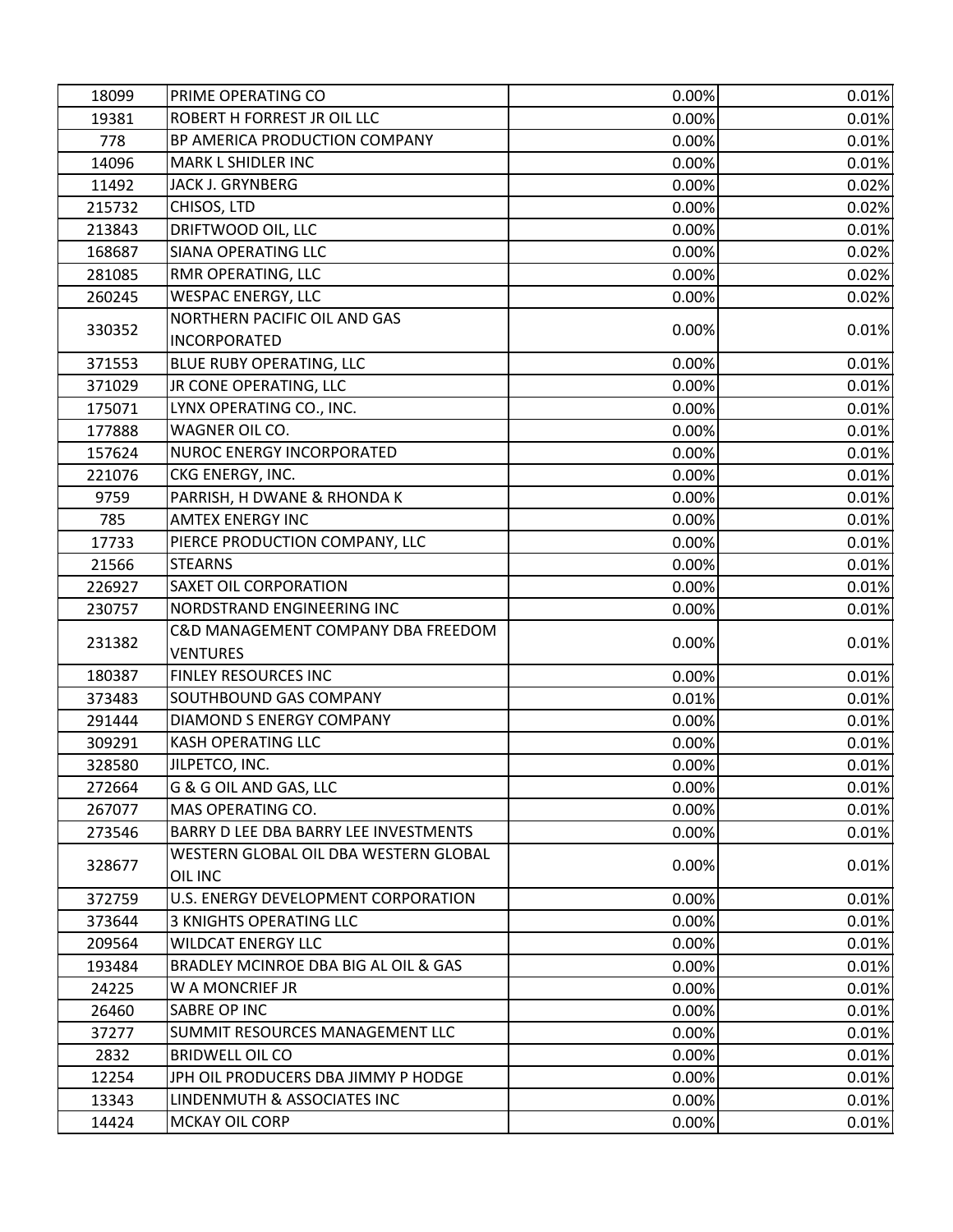| 18099  | PRIME OPERATING CO                               | 0.00% | 0.01% |
|--------|--------------------------------------------------|-------|-------|
| 19381  | ROBERT H FORREST JR OIL LLC                      | 0.00% | 0.01% |
| 778    | BP AMERICA PRODUCTION COMPANY                    | 0.00% | 0.01% |
| 14096  | MARK L SHIDLER INC                               | 0.00% | 0.01% |
| 11492  | JACK J. GRYNBERG                                 | 0.00% | 0.02% |
| 215732 | CHISOS, LTD                                      | 0.00% | 0.02% |
| 213843 | DRIFTWOOD OIL, LLC                               | 0.00% | 0.01% |
| 168687 | SIANA OPERATING LLC                              | 0.00% | 0.02% |
| 281085 | RMR OPERATING, LLC                               | 0.00% | 0.02% |
| 260245 | <b>WESPAC ENERGY, LLC</b>                        | 0.00% | 0.02% |
|        | NORTHERN PACIFIC OIL AND GAS                     |       |       |
| 330352 | <b>INCORPORATED</b>                              | 0.00% | 0.01% |
| 371553 | BLUE RUBY OPERATING, LLC                         | 0.00% | 0.01% |
| 371029 | JR CONE OPERATING, LLC                           | 0.00% | 0.01% |
| 175071 | LYNX OPERATING CO., INC.                         | 0.00% | 0.01% |
| 177888 | WAGNER OIL CO.                                   | 0.00% | 0.01% |
| 157624 | NUROC ENERGY INCORPORATED                        | 0.00% | 0.01% |
| 221076 | CKG ENERGY, INC.                                 | 0.00% | 0.01% |
| 9759   | PARRISH, H DWANE & RHONDA K                      | 0.00% | 0.01% |
| 785    | <b>AMTEX ENERGY INC</b>                          | 0.00% | 0.01% |
| 17733  | PIERCE PRODUCTION COMPANY, LLC                   | 0.00% | 0.01% |
| 21566  | <b>STEARNS</b>                                   | 0.00% | 0.01% |
| 226927 | SAXET OIL CORPORATION                            | 0.00% | 0.01% |
| 230757 | NORDSTRAND ENGINEERING INC                       | 0.00% | 0.01% |
| 231382 | C&D MANAGEMENT COMPANY DBA FREEDOM               | 0.00% | 0.01% |
|        | <b>VENTURES</b>                                  |       |       |
| 180387 | FINLEY RESOURCES INC                             | 0.00% | 0.01% |
| 373483 | SOUTHBOUND GAS COMPANY                           | 0.01% | 0.01% |
| 291444 | DIAMOND S ENERGY COMPANY                         | 0.00% | 0.01% |
| 309291 | <b>KASH OPERATING LLC</b>                        | 0.00% | 0.01% |
| 328580 | JILPETCO, INC.                                   | 0.00% | 0.01% |
| 272664 | G & G OIL AND GAS, LLC                           | 0.00% | 0.01% |
| 267077 | MAS OPERATING CO.                                | 0.00% | 0.01% |
| 273546 | BARRY D LEE DBA BARRY LEE INVESTMENTS            | 0.00% | 0.01% |
| 328677 | WESTERN GLOBAL OIL DBA WESTERN GLOBAL<br>OIL INC | 0.00% | 0.01% |
| 372759 | U.S. ENERGY DEVELOPMENT CORPORATION              | 0.00% | 0.01% |
| 373644 | <b>3 KNIGHTS OPERATING LLC</b>                   | 0.00% | 0.01% |
| 209564 | <b>WILDCAT ENERGY LLC</b>                        | 0.00% | 0.01% |
| 193484 | BRADLEY MCINROE DBA BIG AL OIL & GAS             | 0.00% | 0.01% |
| 24225  | W A MONCRIEF JR                                  | 0.00% | 0.01% |
| 26460  | SABRE OP INC                                     | 0.00% | 0.01% |
| 37277  | SUMMIT RESOURCES MANAGEMENT LLC                  | 0.00% | 0.01% |
| 2832   | <b>BRIDWELL OIL CO</b>                           | 0.00% | 0.01% |
| 12254  | JPH OIL PRODUCERS DBA JIMMY P HODGE              | 0.00% | 0.01% |
| 13343  | LINDENMUTH & ASSOCIATES INC                      | 0.00% | 0.01% |
| 14424  | <b>MCKAY OIL CORP</b>                            | 0.00% | 0.01% |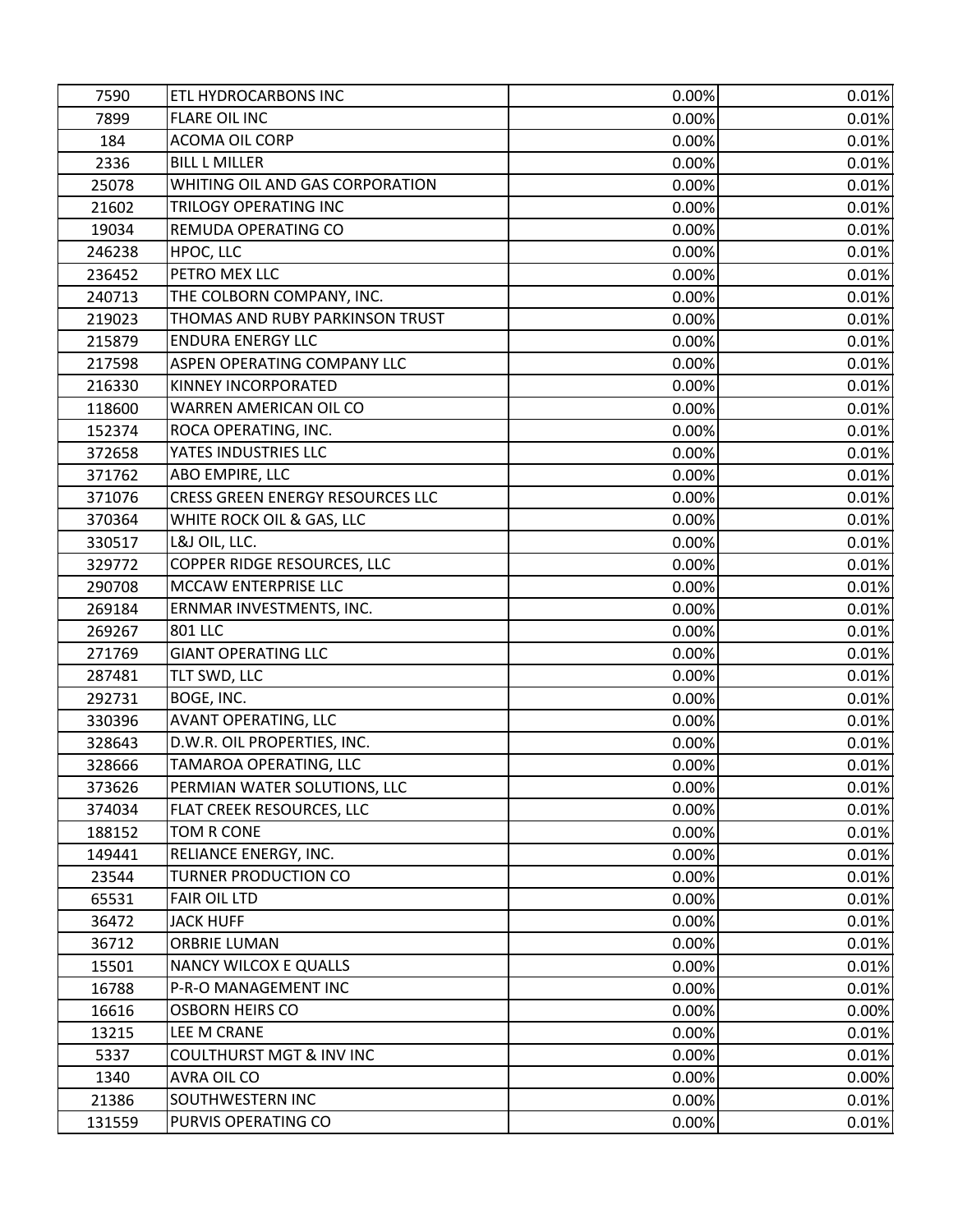| 7590   | ETL HYDROCARBONS INC                | 0.00% | 0.01% |
|--------|-------------------------------------|-------|-------|
| 7899   | <b>FLARE OIL INC</b>                | 0.00% | 0.01% |
| 184    | <b>ACOMA OIL CORP</b>               | 0.00% | 0.01% |
| 2336   | <b>BILL L MILLER</b>                | 0.00% | 0.01% |
| 25078  | WHITING OIL AND GAS CORPORATION     | 0.00% | 0.01% |
| 21602  | TRILOGY OPERATING INC               | 0.00% | 0.01% |
| 19034  | REMUDA OPERATING CO                 | 0.00% | 0.01% |
| 246238 | HPOC, LLC                           | 0.00% | 0.01% |
| 236452 | PETRO MEX LLC                       | 0.00% | 0.01% |
| 240713 | THE COLBORN COMPANY, INC.           | 0.00% | 0.01% |
| 219023 | THOMAS AND RUBY PARKINSON TRUST     | 0.00% | 0.01% |
| 215879 | <b>ENDURA ENERGY LLC</b>            | 0.00% | 0.01% |
| 217598 | ASPEN OPERATING COMPANY LLC         | 0.00% | 0.01% |
| 216330 | KINNEY INCORPORATED                 | 0.00% | 0.01% |
| 118600 | WARREN AMERICAN OIL CO              | 0.00% | 0.01% |
| 152374 | ROCA OPERATING, INC.                | 0.00% | 0.01% |
| 372658 | YATES INDUSTRIES LLC                | 0.00% | 0.01% |
| 371762 | ABO EMPIRE, LLC                     | 0.00% | 0.01% |
| 371076 | CRESS GREEN ENERGY RESOURCES LLC    | 0.00% | 0.01% |
| 370364 | WHITE ROCK OIL & GAS, LLC           | 0.00% | 0.01% |
| 330517 | L&J OIL, LLC.                       | 0.00% | 0.01% |
| 329772 | COPPER RIDGE RESOURCES, LLC         | 0.00% | 0.01% |
| 290708 | MCCAW ENTERPRISE LLC                | 0.00% | 0.01% |
| 269184 | ERNMAR INVESTMENTS, INC.            | 0.00% | 0.01% |
| 269267 | <b>801 LLC</b>                      | 0.00% | 0.01% |
| 271769 | <b>GIANT OPERATING LLC</b>          | 0.00% | 0.01% |
| 287481 | TLT SWD, LLC                        | 0.00% | 0.01% |
| 292731 | BOGE, INC.                          | 0.00% | 0.01% |
| 330396 | <b>AVANT OPERATING, LLC</b>         | 0.00% | 0.01% |
| 328643 | D.W.R. OIL PROPERTIES, INC.         | 0.00% | 0.01% |
| 328666 | TAMAROA OPERATING, LLC              | 0.00% | 0.01% |
| 373626 | PERMIAN WATER SOLUTIONS, LLC        | 0.00% | 0.01% |
| 374034 | FLAT CREEK RESOURCES, LLC           | 0.00% | 0.01% |
| 188152 | TOM R CONE                          | 0.00% | 0.01% |
| 149441 | RELIANCE ENERGY, INC.               | 0.00% | 0.01% |
| 23544  | <b>TURNER PRODUCTION CO</b>         | 0.00% | 0.01% |
| 65531  | <b>FAIR OIL LTD</b>                 | 0.00% | 0.01% |
| 36472  | <b>JACK HUFF</b>                    | 0.00% | 0.01% |
| 36712  | <b>ORBRIE LUMAN</b>                 | 0.00% | 0.01% |
| 15501  | <b>NANCY WILCOX E QUALLS</b>        | 0.00% | 0.01% |
| 16788  | P-R-O MANAGEMENT INC                | 0.00% | 0.01% |
| 16616  | <b>OSBORN HEIRS CO</b>              | 0.00% | 0.00% |
| 13215  | LEE M CRANE                         | 0.00% | 0.01% |
| 5337   | <b>COULTHURST MGT &amp; INV INC</b> | 0.00% | 0.01% |
| 1340   | AVRA OIL CO                         | 0.00% | 0.00% |
| 21386  | SOUTHWESTERN INC                    | 0.00% | 0.01% |
| 131559 | PURVIS OPERATING CO                 | 0.00% | 0.01% |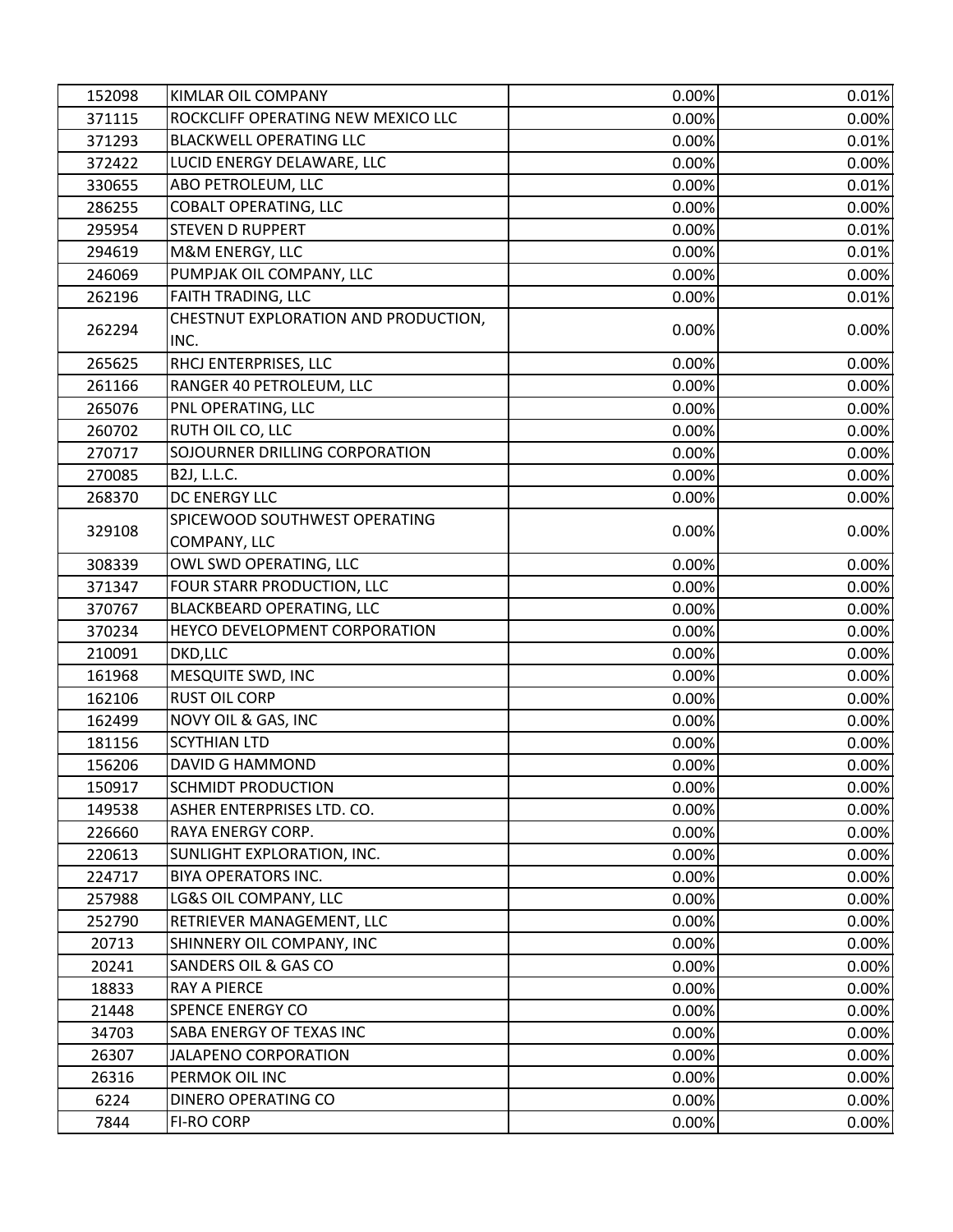| 152098           | KIMLAR OIL COMPANY                           | 0.00%    | 0.01%          |
|------------------|----------------------------------------------|----------|----------------|
| 371115           | ROCKCLIFF OPERATING NEW MEXICO LLC           | 0.00%    | 0.00%          |
| 371293           | <b>BLACKWELL OPERATING LLC</b>               | 0.00%    | 0.01%          |
| 372422           | LUCID ENERGY DELAWARE, LLC                   | 0.00%    | 0.00%          |
| 330655           | ABO PETROLEUM, LLC                           | 0.00%    | 0.01%          |
| 286255           | COBALT OPERATING, LLC                        | 0.00%    | 0.00%          |
| 295954           | <b>STEVEN D RUPPERT</b>                      | 0.00%    | 0.01%          |
| 294619           | M&M ENERGY, LLC                              | 0.00%    | 0.01%          |
| 246069           | PUMPJAK OIL COMPANY, LLC                     | 0.00%    | 0.00%          |
| 262196           | FAITH TRADING, LLC                           | 0.00%    | 0.01%          |
| 262294           | CHESTNUT EXPLORATION AND PRODUCTION,<br>INC. | 0.00%    | 0.00%          |
| 265625           | RHCJ ENTERPRISES, LLC                        | 0.00%    | 0.00%          |
|                  | RANGER 40 PETROLEUM, LLC                     | 0.00%    | 0.00%          |
| 261166<br>265076 | PNL OPERATING, LLC                           | 0.00%    | 0.00%          |
|                  | RUTH OIL CO, LLC                             | 0.00%    |                |
| 260702<br>270717 | SOJOURNER DRILLING CORPORATION               | 0.00%    | 0.00%<br>0.00% |
| 270085           | B2J, L.L.C.                                  | 0.00%    | 0.00%          |
|                  | DC ENERGY LLC                                | 0.00%    | 0.00%          |
| 268370           | SPICEWOOD SOUTHWEST OPERATING                |          |                |
| 329108           | COMPANY, LLC                                 | 0.00%    | 0.00%          |
| 308339           | OWL SWD OPERATING, LLC                       | 0.00%    | 0.00%          |
| 371347           | FOUR STARR PRODUCTION, LLC                   | 0.00%    | 0.00%          |
| 370767           | BLACKBEARD OPERATING, LLC                    | 0.00%    | 0.00%          |
| 370234           | HEYCO DEVELOPMENT CORPORATION                | 0.00%    | 0.00%          |
| 210091           | DKD,LLC                                      | 0.00%    | 0.00%          |
| 161968           | MESQUITE SWD, INC                            | 0.00%    | 0.00%          |
| 162106           | <b>RUST OIL CORP</b>                         | 0.00%    | 0.00%          |
| 162499           | NOVY OIL & GAS, INC                          | 0.00%    | 0.00%          |
| 181156           | <b>SCYTHIAN LTD</b>                          | 0.00%    | 0.00%          |
| 156206           | <b>DAVID G HAMMOND</b>                       | 0.00%    | 0.00%          |
| 150917           | <b>SCHMIDT PRODUCTION</b>                    | $0.00\%$ | 0.00%          |
| 149538           | ASHER ENTERPRISES LTD. CO.                   | 0.00%    | 0.00%          |
| 226660           | RAYA ENERGY CORP.                            | 0.00%    | 0.00%          |
| 220613           | SUNLIGHT EXPLORATION, INC.                   | 0.00%    | 0.00%          |
| 224717           | <b>BIYA OPERATORS INC.</b>                   | 0.00%    | 0.00%          |
| 257988           | LG&S OIL COMPANY, LLC                        | 0.00%    | 0.00%          |
| 252790           | RETRIEVER MANAGEMENT, LLC                    | 0.00%    | 0.00%          |
| 20713            | SHINNERY OIL COMPANY, INC                    | 0.00%    | 0.00%          |
| 20241            | SANDERS OIL & GAS CO                         | 0.00%    | 0.00%          |
| 18833            | RAY A PIERCE                                 | 0.00%    | 0.00%          |
| 21448            | <b>SPENCE ENERGY CO</b>                      | 0.00%    | 0.00%          |
| 34703            | SABA ENERGY OF TEXAS INC                     | 0.00%    | 0.00%          |
| 26307            | <b>JALAPENO CORPORATION</b>                  | 0.00%    | 0.00%          |
| 26316            | PERMOK OIL INC                               | 0.00%    | 0.00%          |
| 6224             | DINERO OPERATING CO                          | 0.00%    | 0.00%          |
| 7844             | <b>FI-RO CORP</b>                            | 0.00%    | 0.00%          |
|                  |                                              |          |                |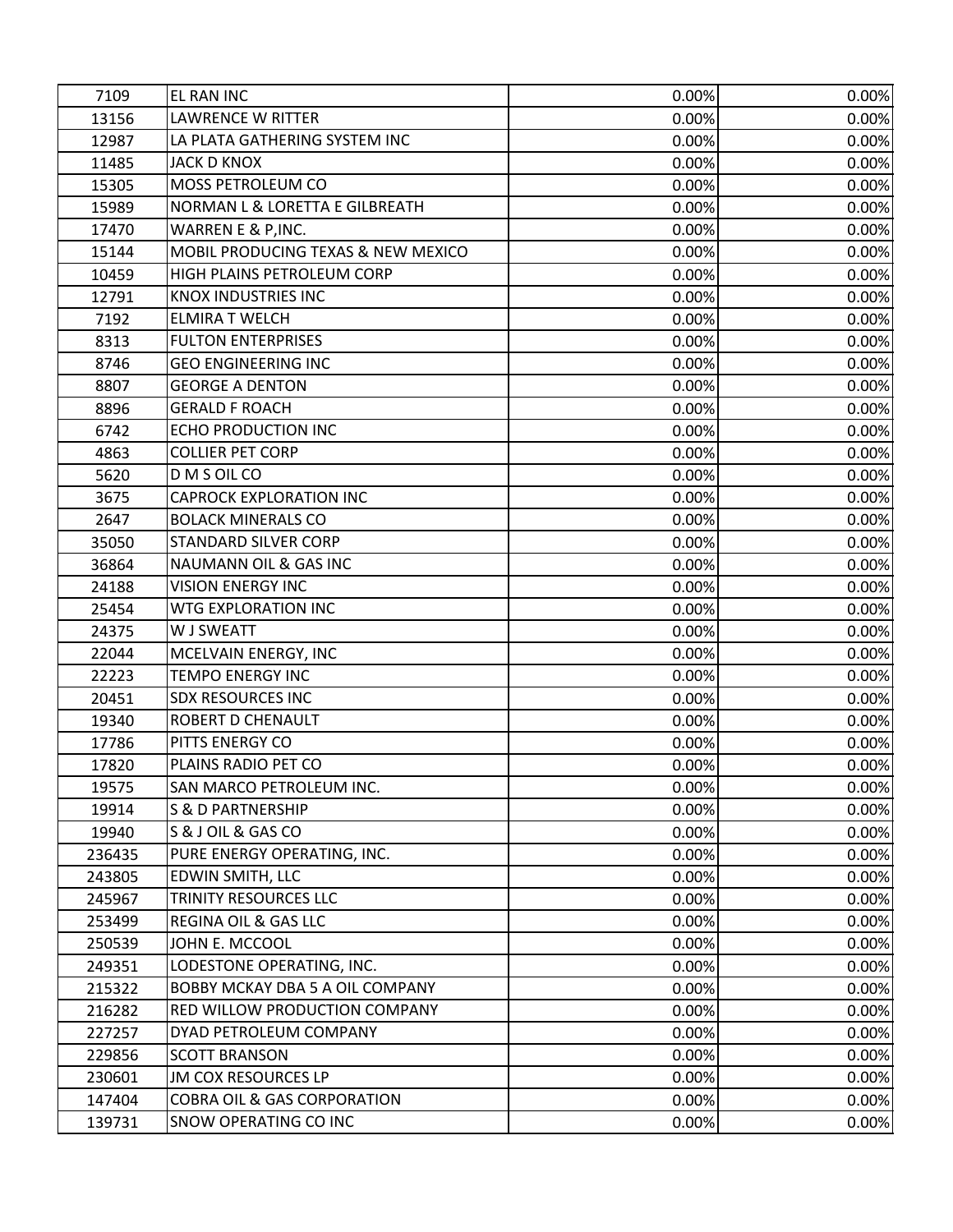| 7109   | EL RAN INC                             | 0.00%    | 0.00% |
|--------|----------------------------------------|----------|-------|
| 13156  | <b>LAWRENCE W RITTER</b>               | 0.00%    | 0.00% |
| 12987  | LA PLATA GATHERING SYSTEM INC          | 0.00%    | 0.00% |
| 11485  | <b>JACK D KNOX</b>                     | 0.00%    | 0.00% |
| 15305  | <b>MOSS PETROLEUM CO</b>               | 0.00%    | 0.00% |
| 15989  | NORMAN L & LORETTA E GILBREATH         | 0.00%    | 0.00% |
| 17470  | WARREN E & P, INC.                     | 0.00%    | 0.00% |
| 15144  | MOBIL PRODUCING TEXAS & NEW MEXICO     | 0.00%    | 0.00% |
| 10459  | HIGH PLAINS PETROLEUM CORP             | 0.00%    | 0.00% |
| 12791  | <b>KNOX INDUSTRIES INC</b>             | 0.00%    | 0.00% |
| 7192   | <b>ELMIRA T WELCH</b>                  | 0.00%    | 0.00% |
| 8313   | <b>FULTON ENTERPRISES</b>              | 0.00%    | 0.00% |
| 8746   | <b>GEO ENGINEERING INC</b>             | 0.00%    | 0.00% |
| 8807   | <b>GEORGE A DENTON</b>                 | 0.00%    | 0.00% |
| 8896   | <b>GERALD F ROACH</b>                  | 0.00%    | 0.00% |
| 6742   | ECHO PRODUCTION INC                    | 0.00%    | 0.00% |
| 4863   | <b>COLLIER PET CORP</b>                | 0.00%    | 0.00% |
| 5620   | D M S OIL CO                           | 0.00%    | 0.00% |
| 3675   | <b>CAPROCK EXPLORATION INC</b>         | 0.00%    | 0.00% |
| 2647   | <b>BOLACK MINERALS CO</b>              | 0.00%    | 0.00% |
| 35050  | <b>STANDARD SILVER CORP</b>            | 0.00%    | 0.00% |
| 36864  | <b>NAUMANN OIL &amp; GAS INC</b>       | 0.00%    | 0.00% |
| 24188  | <b>VISION ENERGY INC</b>               | 0.00%    | 0.00% |
| 25454  | <b>WTG EXPLORATION INC</b>             | 0.00%    | 0.00% |
| 24375  | W J SWEATT                             | 0.00%    | 0.00% |
| 22044  | MCELVAIN ENERGY, INC                   | 0.00%    | 0.00% |
| 22223  | TEMPO ENERGY INC                       | 0.00%    | 0.00% |
| 20451  | <b>SDX RESOURCES INC</b>               | 0.00%    | 0.00% |
| 19340  | ROBERT D CHENAULT                      | 0.00%    | 0.00% |
| 17786  | PITTS ENERGY CO                        | 0.00%    | 0.00% |
| 17820  | PLAINS RADIO PET CO                    | 0.00%    | 0.00% |
| 19575  | SAN MARCO PETROLEUM INC.               | $0.00\%$ | 0.00% |
| 19914  | <b>S &amp; D PARTNERSHIP</b>           | 0.00%    | 0.00% |
| 19940  | S & J OIL & GAS CO                     | 0.00%    | 0.00% |
| 236435 | PURE ENERGY OPERATING, INC.            | 0.00%    | 0.00% |
| 243805 | EDWIN SMITH, LLC                       | 0.00%    | 0.00% |
| 245967 | TRINITY RESOURCES LLC                  | 0.00%    | 0.00% |
| 253499 | <b>REGINA OIL &amp; GAS LLC</b>        | 0.00%    | 0.00% |
| 250539 | JOHN E. MCCOOL                         | 0.00%    | 0.00% |
| 249351 | LODESTONE OPERATING, INC.              | 0.00%    | 0.00% |
| 215322 | <b>BOBBY MCKAY DBA 5 A OIL COMPANY</b> | 0.00%    | 0.00% |
| 216282 | RED WILLOW PRODUCTION COMPANY          | 0.00%    | 0.00% |
| 227257 | DYAD PETROLEUM COMPANY                 | 0.00%    | 0.00% |
| 229856 | <b>SCOTT BRANSON</b>                   | 0.00%    | 0.00% |
| 230601 | <b>JM COX RESOURCES LP</b>             | 0.00%    | 0.00% |
| 147404 | <b>COBRA OIL &amp; GAS CORPORATION</b> | 0.00%    | 0.00% |
| 139731 | <b>SNOW OPERATING CO INC</b>           | 0.00%    | 0.00% |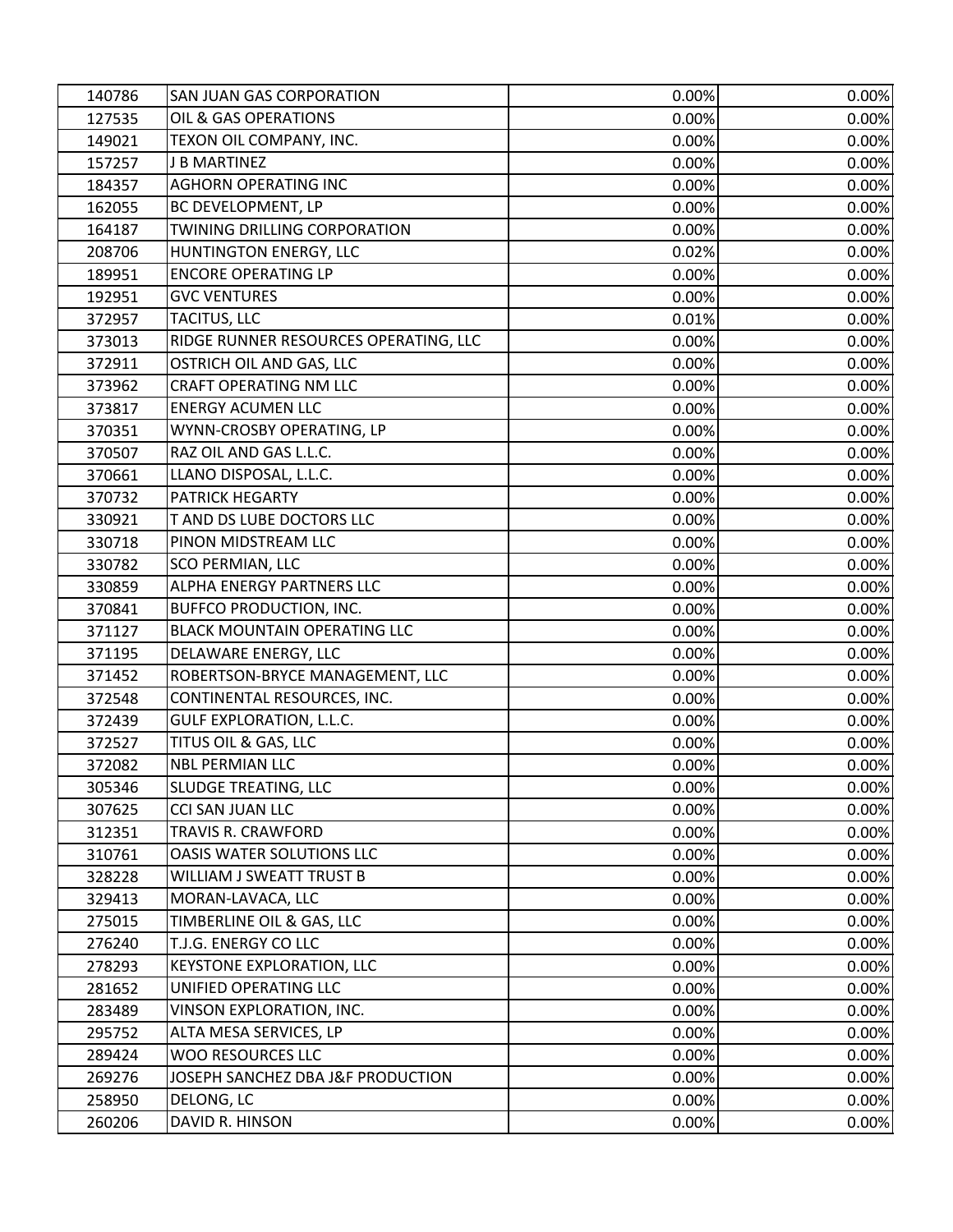| 140786 | <b>SAN JUAN GAS CORPORATION</b>       | 0.00% | 0.00% |
|--------|---------------------------------------|-------|-------|
| 127535 | OIL & GAS OPERATIONS                  | 0.00% | 0.00% |
| 149021 | TEXON OIL COMPANY, INC.               | 0.00% | 0.00% |
| 157257 | <b>J B MARTINEZ</b>                   | 0.00% | 0.00% |
| 184357 | <b>AGHORN OPERATING INC</b>           | 0.00% | 0.00% |
| 162055 | BC DEVELOPMENT, LP                    | 0.00% | 0.00% |
| 164187 | TWINING DRILLING CORPORATION          | 0.00% | 0.00% |
| 208706 | HUNTINGTON ENERGY, LLC                | 0.02% | 0.00% |
| 189951 | <b>ENCORE OPERATING LP</b>            | 0.00% | 0.00% |
| 192951 | <b>GVC VENTURES</b>                   | 0.00% | 0.00% |
| 372957 | TACITUS, LLC                          | 0.01% | 0.00% |
| 373013 | RIDGE RUNNER RESOURCES OPERATING, LLC | 0.00% | 0.00% |
| 372911 | OSTRICH OIL AND GAS, LLC              | 0.00% | 0.00% |
| 373962 | <b>CRAFT OPERATING NM LLC</b>         | 0.00% | 0.00% |
| 373817 | <b>ENERGY ACUMEN LLC</b>              | 0.00% | 0.00% |
| 370351 | WYNN-CROSBY OPERATING, LP             | 0.00% | 0.00% |
| 370507 | RAZ OIL AND GAS L.L.C.                | 0.00% | 0.00% |
| 370661 | LLANO DISPOSAL, L.L.C.                | 0.00% | 0.00% |
| 370732 | <b>PATRICK HEGARTY</b>                | 0.00% | 0.00% |
| 330921 | T AND DS LUBE DOCTORS LLC             | 0.00% | 0.00% |
| 330718 | PINON MIDSTREAM LLC                   | 0.00% | 0.00% |
| 330782 | <b>SCO PERMIAN, LLC</b>               | 0.00% | 0.00% |
| 330859 | <b>ALPHA ENERGY PARTNERS LLC</b>      | 0.00% | 0.00% |
| 370841 | <b>BUFFCO PRODUCTION, INC.</b>        | 0.00% | 0.00% |
| 371127 | <b>BLACK MOUNTAIN OPERATING LLC</b>   | 0.00% | 0.00% |
| 371195 | DELAWARE ENERGY, LLC                  | 0.00% | 0.00% |
| 371452 | ROBERTSON-BRYCE MANAGEMENT, LLC       | 0.00% | 0.00% |
| 372548 | CONTINENTAL RESOURCES, INC.           | 0.00% | 0.00% |
| 372439 | <b>GULF EXPLORATION, L.L.C.</b>       | 0.00% | 0.00% |
| 372527 | TITUS OIL & GAS, LLC                  | 0.00% | 0.00% |
| 372082 | <b>NBL PERMIAN LLC</b>                | 0.00% | 0.00% |
| 305346 | SLUDGE TREATING, LLC                  | 0.00% | 0.00% |
| 307625 | CCI SAN JUAN LLC                      | 0.00% | 0.00% |
| 312351 | TRAVIS R. CRAWFORD                    | 0.00% | 0.00% |
| 310761 | OASIS WATER SOLUTIONS LLC             | 0.00% | 0.00% |
| 328228 | WILLIAM J SWEATT TRUST B              | 0.00% | 0.00% |
| 329413 | MORAN-LAVACA, LLC                     | 0.00% | 0.00% |
| 275015 | TIMBERLINE OIL & GAS, LLC             | 0.00% | 0.00% |
| 276240 | T.J.G. ENERGY CO LLC                  | 0.00% | 0.00% |
| 278293 | KEYSTONE EXPLORATION, LLC             | 0.00% | 0.00% |
| 281652 | UNIFIED OPERATING LLC                 | 0.00% | 0.00% |
| 283489 | VINSON EXPLORATION, INC.              | 0.00% | 0.00% |
| 295752 | ALTA MESA SERVICES, LP                | 0.00% | 0.00% |
| 289424 | <b>WOO RESOURCES LLC</b>              | 0.00% | 0.00% |
| 269276 | JOSEPH SANCHEZ DBA J&F PRODUCTION     | 0.00% | 0.00% |
| 258950 | DELONG, LC                            | 0.00% | 0.00% |
| 260206 | DAVID R. HINSON                       | 0.00% | 0.00% |